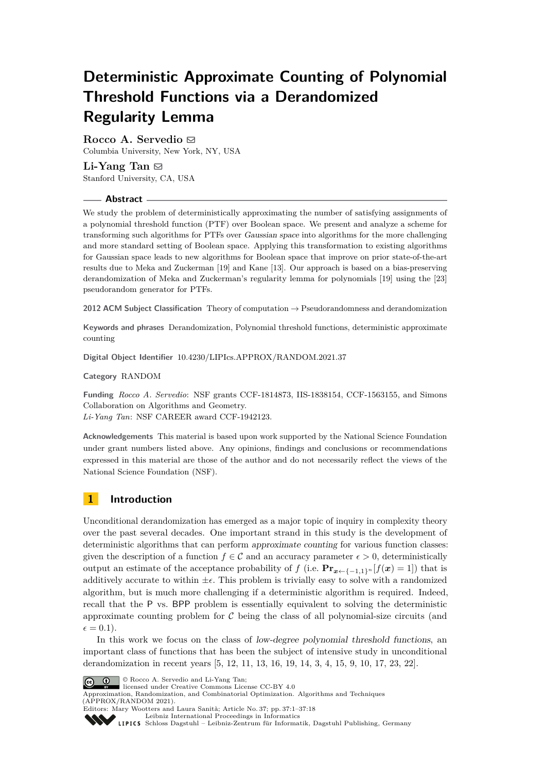# **Deterministic Approximate Counting of Polynomial Threshold Functions via a Derandomized Regularity Lemma**

# **Rocco A. Servedio** ⊠

Columbia University, New York, NY, USA

## **Li-Yang Tan** ⊠ Stanford University, CA, USA

## **Abstract**

We study the problem of deterministically approximating the number of satisfying assignments of a polynomial threshold function (PTF) over Boolean space. We present and analyze a scheme for transforming such algorithms for PTFs over Gaussian space into algorithms for the more challenging and more standard setting of Boolean space. Applying this transformation to existing algorithms for Gaussian space leads to new algorithms for Boolean space that improve on prior state-of-the-art results due to Meka and Zuckerman [\[19\]](#page-15-0) and Kane [\[13\]](#page-15-1). Our approach is based on a bias-preserving derandomization of Meka and Zuckerman's regularity lemma for polynomials [\[19\]](#page-15-0) using the [\[23\]](#page-16-0) pseudorandom generator for PTFs.

**2012 ACM Subject Classification** Theory of computation → Pseudorandomness and derandomization

**Keywords and phrases** Derandomization, Polynomial threshold functions, deterministic approximate counting

**Digital Object Identifier** [10.4230/LIPIcs.APPROX/RANDOM.2021.37](https://doi.org/10.4230/LIPIcs.APPROX/RANDOM.2021.37)

**Category** RANDOM

**Funding** *Rocco A. Servedio*: NSF grants CCF-1814873, IIS-1838154, CCF-1563155, and Simons Collaboration on Algorithms and Geometry. *Li-Yang Tan*: NSF CAREER award CCF-1942123.

**Acknowledgements** This material is based upon work supported by the National Science Foundation under grant numbers listed above. Any opinions, findings and conclusions or recommendations expressed in this material are those of the author and do not necessarily reflect the views of the National Science Foundation (NSF).

# **1 Introduction**

Unconditional derandomization has emerged as a major topic of inquiry in complexity theory over the past several decades. One important strand in this study is the development of deterministic algorithms that can perform approximate counting for various function classes: given the description of a function  $f \in \mathcal{C}$  and an accuracy parameter  $\epsilon > 0$ , deterministically output an estimate of the acceptance probability of *f* (i.e.  $\mathbf{Pr}_{x \leftarrow \{-1,1\}^n} [f(x) = 1]$ ) that is additively accurate to within  $\pm \epsilon$ . This problem is trivially easy to solve with a randomized algorithm, but is much more challenging if a deterministic algorithm is required. Indeed, recall that the P vs. BPP problem is essentially equivalent to solving the deterministic approximate counting problem for  $\mathcal C$  being the class of all polynomial-size circuits (and  $\epsilon = 0.1$ .

In this work we focus on the class of low-degree polynomial threshold functions, an important class of functions that has been the subject of intensive study in unconditional derandomization in recent years [\[5,](#page-15-2) [12,](#page-15-3) [11,](#page-15-4) [13,](#page-15-1) [16,](#page-15-5) [19,](#page-15-0) [14,](#page-15-6) [3,](#page-15-7) [4,](#page-15-8) [15,](#page-15-9) [9,](#page-15-10) [10,](#page-15-11) [17,](#page-15-12) [23,](#page-16-0) [22\]](#page-16-1).



© Rocco A. Servedio and Li-Yang Tan;

licensed under Creative Commons License CC-BY 4.0

Approximation, Randomization, and Combinatorial Optimization. Algorithms and Techniques (APPROX/RANDOM 2021). Editors: Mary Wootters and Laura Sanità; Article No. 37; pp. 37:1–37:18

[Leibniz International Proceedings in Informatics](https://www.dagstuhl.de/lipics/) [Schloss Dagstuhl – Leibniz-Zentrum für Informatik, Dagstuhl Publishing, Germany](https://www.dagstuhl.de)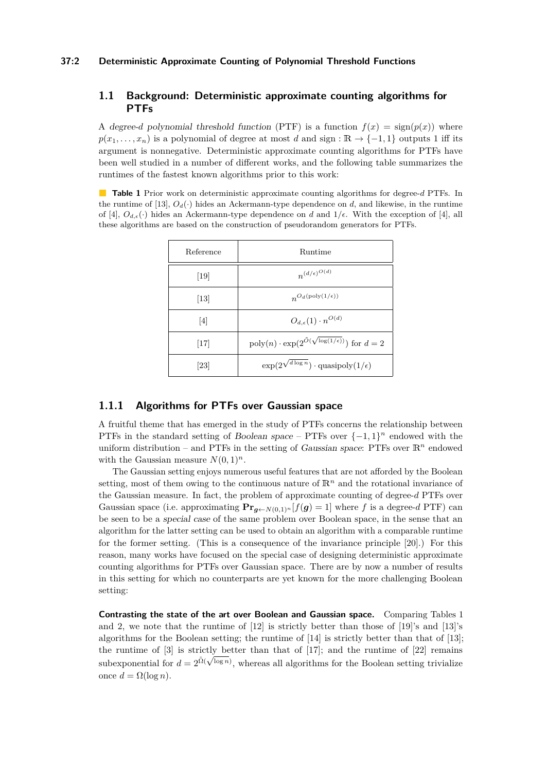## **1.1 Background: Deterministic approximate counting algorithms for PTFs**

A degree-*d* polynomial threshold function (PTF) is a function  $f(x) = \text{sign}(p(x))$  where  $p(x_1, \ldots, x_n)$  is a polynomial of degree at most *d* and sign :  $\mathbb{R} \to \{-1, 1\}$  outputs 1 iff its argument is nonnegative. Deterministic approximate counting algorithms for PTFs have been well studied in a number of different works, and the following table summarizes the runtimes of the fastest known algorithms prior to this work:

<span id="page-1-0"></span>**Table 1** Prior work on deterministic approximate counting algorithms for degree-*d* PTFs. In the runtime of [\[13\]](#page-15-1),  $O_d(\cdot)$  hides an Ackermann-type dependence on *d*, and likewise, in the runtime of [\[4\]](#page-15-8),  $O_{d,\epsilon}(\cdot)$  hides an Ackermann-type dependence on *d* and  $1/\epsilon$ . With the exception of [4], all these algorithms are based on the construction of pseudorandom generators for PTFs.

| Reference | Runtime                                                               |
|-----------|-----------------------------------------------------------------------|
| 19        | $n^{(d/\epsilon)^{O(d)}}$                                             |
| 13        | $n^{O_d(\text{poly}(1/\epsilon))}$                                    |
| 4         | $O_{d,\epsilon}(1)\cdot n^{O(d)}$                                     |
| 17        | $poly(n) \cdot exp(2^{\tilde{O}(\sqrt{\log(1/\epsilon)})})$ for $d=2$ |
| 23        | $\exp(2^{\sqrt{d \log n}}) \cdot \text{quasipoly}(1/\epsilon)$        |

## **1.1.1 Algorithms for PTFs over Gaussian space**

A fruitful theme that has emerged in the study of PTFs concerns the relationship between PTFs in the standard setting of Boolean space – PTFs over  $\{-1,1\}^n$  endowed with the uniform distribution – and PTFs in the setting of Gaussian space: PTFs over  $\mathbb{R}^n$  endowed with the Gaussian measure  $N(0, 1)^n$ .

The Gaussian setting enjoys numerous useful features that are not afforded by the Boolean setting, most of them owing to the continuous nature of  $\mathbb{R}^n$  and the rotational invariance of the Gaussian measure. In fact, the problem of approximate counting of degree-*d* PTFs over Gaussian space (i.e. approximating  $\mathbf{Pr}_{g \leftarrow N(0,1)^n} [f(g) = 1]$  where f is a degree-d PTF) can be seen to be a special case of the same problem over Boolean space, in the sense that an algorithm for the latter setting can be used to obtain an algorithm with a comparable runtime for the former setting. (This is a consequence of the invariance principle [\[20\]](#page-15-13).) For this reason, many works have focused on the special case of designing deterministic approximate counting algorithms for PTFs over Gaussian space. There are by now a number of results in this setting for which no counterparts are yet known for the more challenging Boolean setting:

**Contrasting the state of the art over Boolean and Gaussian space.** Comparing Tables [1](#page-1-0) and [2,](#page-2-0) we note that the runtime of [\[12\]](#page-15-3) is strictly better than those of [\[19\]](#page-15-0)'s and [\[13\]](#page-15-1)'s algorithms for the Boolean setting; the runtime of [\[14\]](#page-15-6) is strictly better than that of [\[13\]](#page-15-1); the runtime of [\[3\]](#page-15-7) is strictly better than that of [\[17\]](#page-15-12); and the runtime of [\[22\]](#page-16-1) remains subexponential for  $d = 2^{\tilde{\Omega}(\sqrt{\log n})}$ , whereas all algorithms for the Boolean setting trivialize once  $d = \Omega(\log n)$ .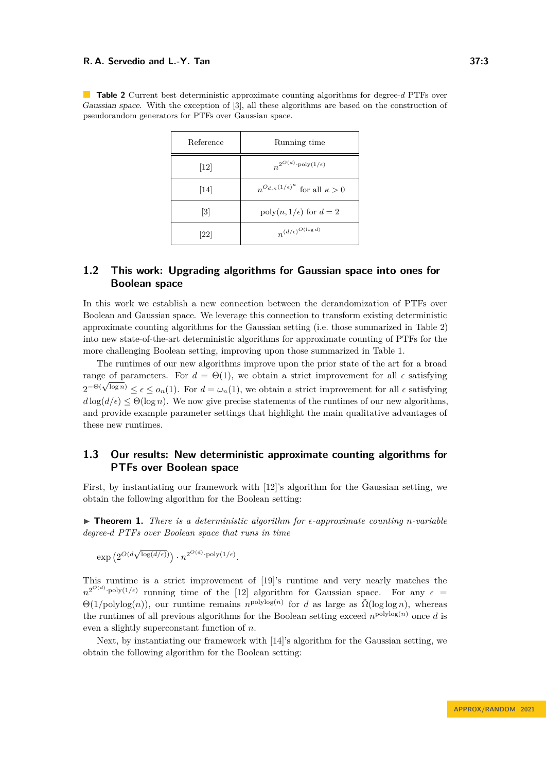| Reference | Running time                                                 |
|-----------|--------------------------------------------------------------|
| $[12]$    | $n^{2^{O(d)} \cdot \text{poly}(1/\epsilon)}$                 |
| 14        | $n^{O_{d,\kappa}(1/\epsilon)^{\kappa}}$ for all $\kappa > 0$ |
| 3         | $\text{poly}(n, 1/\epsilon)$ for $d=2$                       |
| 22        | $n^{(d/\epsilon)^{O(\log d)}}$                               |

<span id="page-2-0"></span>**Table 2** Current best deterministic approximate counting algorithms for degree-*d* PTFs over Gaussian space. With the exception of [\[3\]](#page-15-7), all these algorithms are based on the construction of pseudorandom generators for PTFs over Gaussian space.

# **1.2 This work: Upgrading algorithms for Gaussian space into ones for Boolean space**

In this work we establish a new connection between the derandomization of PTFs over Boolean and Gaussian space. We leverage this connection to transform existing deterministic approximate counting algorithms for the Gaussian setting (i.e. those summarized in Table [2\)](#page-2-0) into new state-of-the-art deterministic algorithms for approximate counting of PTFs for the more challenging Boolean setting, improving upon those summarized in Table [1.](#page-1-0)

The runtimes of our new algorithms improve upon the prior state of the art for a broad range of parameters. For  $d = \Theta(1)$ , we obtain a strict improvement for all  $\epsilon$  satisfying range or parameters. For  $a = \Theta(1)$ , we obtain a strict improvement for all  $\epsilon$  satisfying  $2^{-\Theta(\sqrt{\log n})} \leq \epsilon \leq o_n(1)$ . For  $d = \omega_n(1)$ , we obtain a strict improvement for all  $\epsilon$  satisfying  $d \log(d/\epsilon) \leq \Theta(\log n)$ . We now give precise statements of the runtimes of our new algorithms, and provide example parameter settings that highlight the main qualitative advantages of these new runtimes.

# **1.3 Our results: New deterministic approximate counting algorithms for PTFs over Boolean space**

First, by instantiating our framework with [\[12\]](#page-15-3)'s algorithm for the Gaussian setting, we obtain the following algorithm for the Boolean setting:

<span id="page-2-1"></span>▶ **Theorem 1.** *There is a deterministic algorithm for ϵ-approximate counting n-variable degree-d PTFs over Boolean space that runs in time*

 $\exp\left(2^{O(d\sqrt{1-\lambda}})\right)$  $\frac{\log(d/\epsilon)}{n}$  .  $n^{2^{O(d)} \cdot \text{poly}(1/\epsilon)}$ .

This runtime is a strict improvement of [\[19\]](#page-15-0)'s runtime and very nearly matches the  $n^{2^{O(d)} \cdot \text{poly}(1/\epsilon)}$  running time of the [\[12\]](#page-15-3) algorithm for Gaussian space. For any  $\epsilon =$  $\Theta(1/\text{polylog}(n))$ , our runtime remains  $n^{\text{polylog}(n)}$  for *d* as large as  $\tilde{\Omega}(\log \log n)$ , whereas the runtimes of all previous algorithms for the Boolean setting exceed  $n^{\text{polylog}(n)}$  once *d* is even a slightly superconstant function of *n*.

<span id="page-2-2"></span>Next, by instantiating our framework with [\[14\]](#page-15-6)'s algorithm for the Gaussian setting, we obtain the following algorithm for the Boolean setting: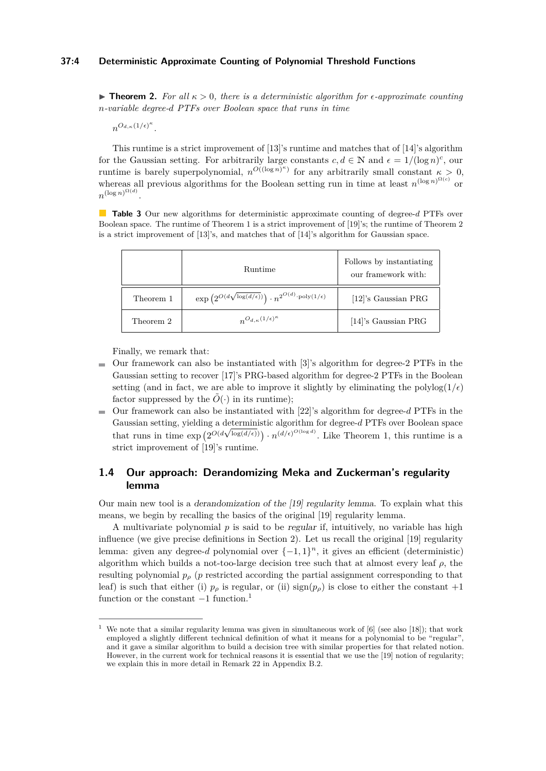## **37:4 Deterministic Approximate Counting of Polynomial Threshold Functions**

▶ **Theorem 2.** *For all κ >* 0*, there is a deterministic algorithm for ϵ-approximate counting n-variable degree-d PTFs over Boolean space that runs in time*

 $n^{O_{d,\kappa}(1/\epsilon)^{\kappa}}$ .

This runtime is a strict improvement of [\[13\]](#page-15-1)'s runtime and matches that of [\[14\]](#page-15-6)'s algorithm for the Gaussian setting. For arbitrarily large constants  $c, d \in \mathbb{N}$  and  $\epsilon = 1/(\log n)^c$ , our runtime is barely superpolynomial,  $n^{O((\log n)^{\kappa})}$  for any arbitrarily small constant  $\kappa > 0$ , whereas all previous algorithms for the Boolean setting run in time at least  $n^{(\log n)^{\Omega(c)}}$  or  $n^{(\log n)^{\Omega(d)}}$ .

**Table 3** Our new algorithms for deterministic approximate counting of degree-*d* PTFs over Boolean space. The runtime of Theorem [1](#page-2-1) is a strict improvement of [\[19\]](#page-15-0)'s; the runtime of Theorem [2](#page-2-2) is a strict improvement of [\[13\]](#page-15-1)'s, and matches that of [\[14\]](#page-15-6)'s algorithm for Gaussian space.

|           | <b>Runtime</b>                                                                                     | Follows by instantiating<br>our framework with: |
|-----------|----------------------------------------------------------------------------------------------------|-------------------------------------------------|
| Theorem 1 | $\exp\left(2^{O(d\sqrt{\log(d/\epsilon)})}\right) \cdot n^{2^{O(d)}\cdot \text{poly}(1/\epsilon)}$ | [12]'s Gaussian PRG                             |
| Theorem 2 | $n^{O_{d,\kappa}(1/\epsilon)^{\kappa}}$                                                            | [14]'s Gaussian PRG                             |

Finally, we remark that:

- $\blacksquare$  Our framework can also be instantiated with [\[3\]](#page-15-7)'s algorithm for degree-2 PTFs in the Gaussian setting to recover [\[17\]](#page-15-12)'s PRG-based algorithm for degree-2 PTFs in the Boolean setting (and in fact, we are able to improve it slightly by eliminating the polylog $(1/\epsilon)$ ) factor suppressed by the  $\tilde{O}(\cdot)$  in its runtime);
- Our framework can also be instantiated with [\[22\]](#page-16-1)'s algorithm for degree-*d* PTFs in the  $\overline{\phantom{a}}$ Gaussian setting, yielding a deterministic algorithm for degree-*d* PTFs over Boolean space that runs in time  $\exp\left(2^{O(d\sqrt{\log(d/\epsilon)})}\right) \cdot n^{(d/\epsilon)^{O(\log d)}}$ . Like Theorem [1,](#page-2-1) this runtime is a strict improvement of [\[19\]](#page-15-0)'s runtime.

# <span id="page-3-1"></span>**1.4 Our approach: Derandomizing Meka and Zuckerman's regularity lemma**

Our main new tool is a derandomization of the [\[19\]](#page-15-0) regularity lemma. To explain what this means, we begin by recalling the basics of the original [\[19\]](#page-15-0) regularity lemma.

A multivariate polynomial  $p$  is said to be *regular* if, intuitively, no variable has high influence (we give precise definitions in Section [2\)](#page-5-0). Let us recall the original [\[19\]](#page-15-0) regularity lemma: given any degree-*d* polynomial over  $\{-1, 1\}^n$ , it gives an efficient (deterministic) algorithm which builds a not-too-large decision tree such that at almost every leaf *ρ*, the resulting polynomial  $p<sub>\rho</sub>$  (*p* restricted according the partial assignment corresponding to that leaf) is such that either (i)  $p_\rho$  is regular, or (ii) sign( $p_\rho$ ) is close to either the constant +1 function or the constant  $-1$  $-1$  function.<sup>1</sup>

<span id="page-3-0"></span><sup>&</sup>lt;sup>1</sup> We note that a similar regularity lemma was given in simultaneous work of [\[6\]](#page-15-14) (see also [\[18\]](#page-15-15)); that work employed a slightly different technical definition of what it means for a polynomial to be "regular", and it gave a similar algorithm to build a decision tree with similar properties for that related notion. However, in the current work for technical reasons it is essential that we use the [\[19\]](#page-15-0) notion of regularity; we explain this in more detail in Remark [22](#page-17-0) in Appendix [B.2.](#page-17-1)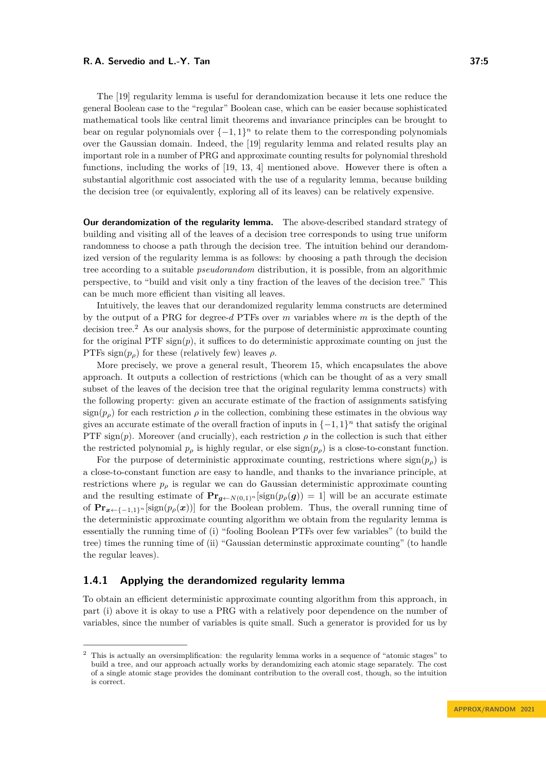The [\[19\]](#page-15-0) regularity lemma is useful for derandomization because it lets one reduce the general Boolean case to the "regular" Boolean case, which can be easier because sophisticated mathematical tools like central limit theorems and invariance principles can be brought to bear on regular polynomials over  $\{-1,1\}^n$  to relate them to the corresponding polynomials over the Gaussian domain. Indeed, the [\[19\]](#page-15-0) regularity lemma and related results play an important role in a number of PRG and approximate counting results for polynomial threshold functions, including the works of [\[19,](#page-15-0) [13,](#page-15-1) [4\]](#page-15-8) mentioned above. However there is often a substantial algorithmic cost associated with the use of a regularity lemma, because building the decision tree (or equivalently, exploring all of its leaves) can be relatively expensive.

**Our derandomization of the regularity lemma.** The above-described standard strategy of building and visiting all of the leaves of a decision tree corresponds to using true uniform randomness to choose a path through the decision tree. The intuition behind our derandomized version of the regularity lemma is as follows: by choosing a path through the decision tree according to a suitable *pseudorandom* distribution, it is possible, from an algorithmic perspective, to "build and visit only a tiny fraction of the leaves of the decision tree." This can be much more efficient than visiting all leaves.

Intuitively, the leaves that our derandomized regularity lemma constructs are determined by the output of a PRG for degree-*d* PTFs over *m* variables where *m* is the depth of the decision tree.<sup>[2](#page-4-0)</sup> As our analysis shows, for the purpose of deterministic approximate counting for the original PTF  $sign(p)$ , it suffices to do deterministic approximate counting on just the PTFs sign $(p_{\rho})$  for these (relatively few) leaves  $\rho$ .

More precisely, we prove a general result, Theorem [15,](#page-8-0) which encapsulates the above approach. It outputs a collection of restrictions (which can be thought of as a very small subset of the leaves of the decision tree that the original regularity lemma constructs) with the following property: given an accurate estimate of the fraction of assignments satisfying  $sign(p<sub>\rho</sub>)$  for each restriction  $\rho$  in the collection, combining these estimates in the obvious way gives an accurate estimate of the overall fraction of inputs in  $\{-1, 1\}^n$  that satisfy the original PTF sign(*p*). Moreover (and crucially), each restriction  $\rho$  in the collection is such that either the restricted polynomial  $p_\rho$  is highly regular, or else  $sign(p_\rho)$  is a close-to-constant function.

For the purpose of deterministic approximate counting, restrictions where  $sign(p<sub>o</sub>)$  is a close-to-constant function are easy to handle, and thanks to the invariance principle, at restrictions where  $p<sub>\rho</sub>$  is regular we can do Gaussian deterministic approximate counting and the resulting estimate of  $\mathbf{Pr}_{g \leftarrow N(0,1)^n}[\text{sign}(p_\rho(g)) = 1]$  will be an accurate estimate of  $Pr_{x \leftarrow \{-1,1\}^n}$  [sign( $p_\rho(x)$ )] for the Boolean problem. Thus, the overall running time of the deterministic approximate counting algorithm we obtain from the regularity lemma is essentially the running time of (i) "fooling Boolean PTFs over few variables" (to build the tree) times the running time of (ii) "Gaussian determinstic approximate counting" (to handle the regular leaves).

## **1.4.1 Applying the derandomized regularity lemma**

To obtain an efficient deterministic approximate counting algorithm from this approach, in part (i) above it is okay to use a PRG with a relatively poor dependence on the number of variables, since the number of variables is quite small. Such a generator is provided for us by

<span id="page-4-0"></span><sup>2</sup> This is actually an oversimplification: the regularity lemma works in a sequence of "atomic stages" to build a tree, and our approach actually works by derandomizing each atomic stage separately. The cost of a single atomic stage provides the dominant contribution to the overall cost, though, so the intuition is correct.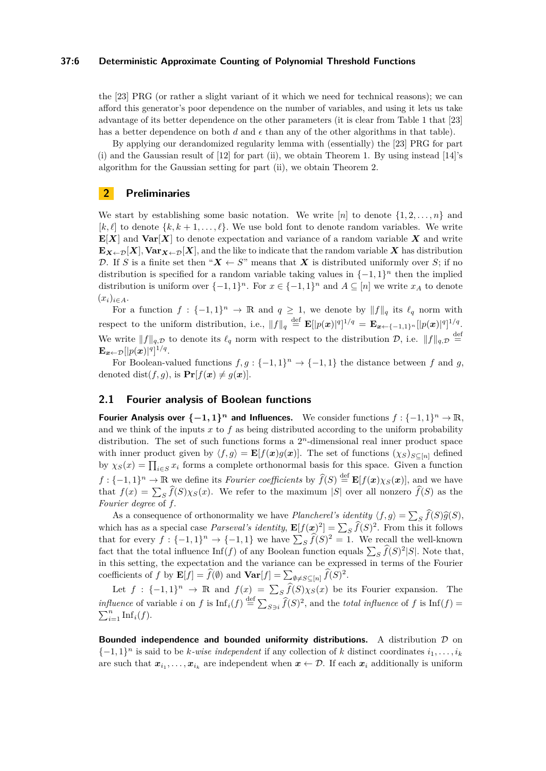#### **37:6 Deterministic Approximate Counting of Polynomial Threshold Functions**

the [\[23\]](#page-16-0) PRG (or rather a slight variant of it which we need for technical reasons); we can afford this generator's poor dependence on the number of variables, and using it lets us take advantage of its better dependence on the other parameters (it is clear from Table 1 that [\[23\]](#page-16-0) has a better dependence on both  $d$  and  $\epsilon$  than any of the other algorithms in that table).

By applying our derandomized regularity lemma with (essentially) the [\[23\]](#page-16-0) PRG for part (i) and the Gaussian result of [\[12\]](#page-15-3) for part (ii), we obtain Theorem [1.](#page-2-1) By using instead [\[14\]](#page-15-6)'s algorithm for the Gaussian setting for part (ii), we obtain Theorem [2.](#page-2-2)

## <span id="page-5-0"></span>**2 Preliminaries**

We start by establishing some basic notation. We write  $[n]$  to denote  $\{1, 2, \ldots, n\}$  and  $[k, \ell]$  to denote  $\{k, k+1, \ldots, \ell\}$ . We use bold font to denote random variables. We write  $\mathbf{E}[X]$  and  $\text{Var}[X]$  to denote expectation and variance of a random variable X and write  $\mathbf{E}_{\mathbf{X} \leftarrow \mathcal{D}}[\mathbf{X}]$ ,  $\mathbf{Var}_{\mathbf{X} \leftarrow \mathcal{D}}[\mathbf{X}]$ , and the like to indicate that the random variable *X* has distribution D. If *S* is a finite set then " $X \leftarrow S$ " means that X is distributed uniformly over *S*; if no distribution is specified for a random variable taking values in  $\{-1, 1\}^n$  then the implied distribution is uniform over  $\{-1,1\}^n$ . For  $x \in \{-1,1\}^n$  and  $A \subseteq [n]$  we write  $x_A$  to denote  $(x_i)_{i \in A}$ .

For a function  $f: \{-1,1\}^n \to \mathbb{R}$  and  $q \geq 1$ , we denote by  $||f||_q$  its  $\ell_q$  norm with respect to the uniform distribution, i.e.,  $||f||_q \stackrel{\text{def}}{=} \mathbf{E}[|p(x)|^q]^{1/q} = \mathbf{E}_{x \leftarrow \{-1,1\}^n} [|p(x)|^q]^{1/q}.$ We write  $||f||_{q,\mathcal{D}}$  to denote its  $\ell_q$  norm with respect to the distribution  $\mathcal{D}$ , i.e.  $||f||_{q,\mathcal{D}} \stackrel{\text{def}}{=}$  $\mathbf{E}_{\bm{x} \leftarrow \mathcal{D}}[|p(\bm{x})|^q]^{1/q}.$ 

For Boolean-valued functions  $f, g: \{-1, 1\}^n \to \{-1, 1\}$  the distance between f and g, denoted dist $(f, g)$ , is  $\Pr[f(x) \neq g(x)]$ .

## <span id="page-5-1"></span>**2.1 Fourier analysis of Boolean functions**

**Fourier Analysis over**  $\{-1, 1\}^n$  and Influences. We consider functions  $f : \{-1, 1\}^n \to \mathbb{R}$ , and we think of the inputs  $x$  to  $f$  as being distributed according to the uniform probability distribution. The set of such functions forms a  $2<sup>n</sup>$ -dimensional real inner product space with inner product given by  $\langle f, g \rangle = \mathbf{E}[f(x)g(x)]$ . The set of functions  $(\chi_S)_{S \subseteq [n]}$  defined by  $\chi_S(x) = \prod_{i \in S} x_i$  forms a complete orthonormal basis for this space. Given a function  $f: \{-1, 1\}^n \to \mathbb{R}$  we define its *Fourier coefficients* by  $\hat{f}(S) \stackrel{\text{def}}{=} \mathbf{E}[f(\bm{x})\chi_S(\bm{x})]$ , and we have that  $f(x) = \sum_{S} f(S) \chi_S(x)$ . We refer to the maximum |*S*| over all nonzero  $f(S)$  as the *Fourier degree* of *f.*

As a consequence of orthonormality we have *Plancherel's identity*  $\langle f, g \rangle = \sum_{S} f(S) \hat{g}(S)$ ,<br>ch has as a gracial sase *Paracual's identity*  $\mathbf{F}^{[f]}(\mathcal{D})^2$ ,  $\sum_{S} \hat{f}(S)^2$ . From this it follows which has as a special case *Parseval's identity*,  $\mathbf{E}[f(\mathbf{x})^2] = \sum_S \hat{f}(S)^2$ . From this it follows that for every  $f: \{-1,1\}^n \to \{-1,1\}$  we have  $\sum_{S} \widehat{f}(S)^2 = 1$ . We recall the well-known fact that the total influence  $\text{Inf}(f)$  of any Boolean function equals  $\sum_{S} \hat{f}(S)^2 |S|$ . Note that, in this setting, the expectation and the variance can be expressed in terms of the Fourier coefficients of *f* by  $\mathbf{E}[f] = \hat{f}(\emptyset)$  and  $\mathbf{Var}[f] = \sum_{\emptyset \neq S \subseteq [n]} \hat{f}(S)^2$ .

Let  $f : \{-1,1\}^n \to \mathbb{R}$  and  $f(x) = \sum_{S} \widehat{f}(S) \chi_S(x)$  be its Fourier expansion. The *influence* of variable *i* on *f* is  $\text{Inf}_i(f) \stackrel{\text{def}}{=} \sum_{S \ni i} \widehat{f}(S)^2$ , and the *total influence* of *f* is  $\text{Inf}(f) =$  $\sum_{i=1}^n \mathrm{Inf}_i(f)$ .

**Bounded independence and bounded uniformity distributions.** A distribution  $\mathcal{D}$  on  ${-1, 1}$ <sup>*n*</sup> is said to be *k-wise independent* if any collection of *k* distinct coordinates  $i_1, \ldots, i_k$ are such that  $x_{i_1}, \ldots, x_{i_k}$  are independent when  $x \leftarrow \mathcal{D}$ . If each  $x_i$  additionally is uniform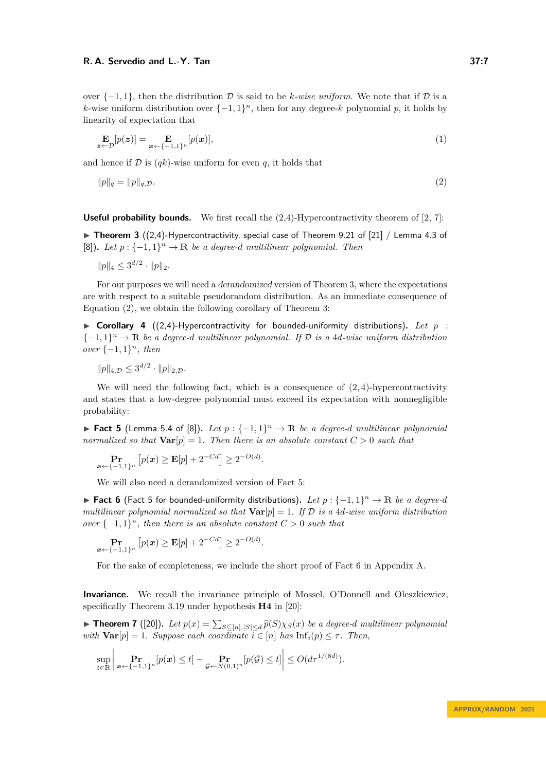over  $\{-1, 1\}$ , then the distribution D is said to be *k-wise uniform*. We note that if D is a *k*-wise uniform distribution over  $\{-1, 1\}^n$ , then for any degree-*k* polynomial *p*, it holds by linearity of expectation that

$$
\mathbf{E}_{\mathbf{z}\leftarrow\mathcal{D}}[p(\mathbf{z})] = \mathbf{E}_{\mathbf{x}\leftarrow\{-1,1\}^n}[p(\mathbf{x})],\tag{1}
$$

and hence if  $D$  is  $(qk)$ -wise uniform for even q, it holds that

<span id="page-6-1"></span>
$$
||p||_q = ||p||_{q,\mathcal{D}}.\tag{2}
$$

**Useful probability bounds.** We first recall the  $(2,4)$ -Hypercontractivity theorem of [\[2,](#page-15-16) [7\]](#page-15-17):

<span id="page-6-0"></span>▶ **Theorem 3** ((2,4)-Hypercontractivity, special case of Theorem 9.21 of [\[21\]](#page-15-18) / Lemma 4.3 of  $[8]$ ). Let  $p: \{-1, 1\}^n \to \mathbb{R}$  be a degree-d multilinear polynomial. Then

 $||p||_4 \leq 3^{d/2} \cdot ||p||_2.$ 

For our purposes we will need a derandomized version of Theorem [3,](#page-6-0) where the expectations are with respect to a suitable pseudorandom distribution. As an immediate consequence of Equation [\(2\)](#page-6-1), we obtain the following corollary of Theorem [3:](#page-6-0)

<span id="page-6-5"></span> $\triangleright$  **Corollary 4** ((2,4)-Hypercontractivity for bounded-uniformity distributions). Let  $p$ :  ${-1, 1}$ <sup>n</sup>  $\rightarrow \mathbb{R}$  *be a degree-d multilinear polynomial. If*  $\mathcal{D}$  *is a 4d-wise uniform distribution over* {−1*,* 1} *<sup>n</sup>, then*

 $||p||_{4,\mathcal{D}} \leq 3^{d/2} \cdot ||p||_{2,\mathcal{D}}.$ 

We will need the following fact, which is a consequence of  $(2, 4)$ -hypercontractivity and states that a low-degree polynomial must exceed its expectation with nonnegligible probability:

<span id="page-6-2"></span>▶ **Fact 5** (Lemma 5.4 of [\[8\]](#page-15-19)). *Let*  $p: \{-1, 1\}^n \to \mathbb{R}$  *be a degree-d multilinear polynomial normalized so that*  $\text{Var}[p] = 1$ *. Then there is an absolute constant*  $C > 0$  *such that* 

$$
\Pr_{\mathbf{x} \leftarrow \{-1,1\}^n} \left[ p(\mathbf{x}) \ge \mathbf{E}[p] + 2^{-Cd} \right] \ge 2^{-O(d)}.
$$

We will also need a derandomized version of Fact [5:](#page-6-2)

<span id="page-6-3"></span>▶ **Fact 6** (Fact [5](#page-6-2) for bounded-uniformity distributions)**.** *Let p* : {−1*,* 1} *<sup>n</sup>* → R *be a degree-d multilinear polynomial normalized so that*  $Var[p] = 1$ *. If*  $D$  *is a 4d-wise uniform distribution over*  $\{-1, 1\}^n$ *, then there is an absolute constant*  $C > 0$  *such that* 

$$
\Pr_{\boldsymbol{x} \leftarrow \{-1,1\}^n} \left[ p(\boldsymbol{x}) \ge \mathbf{E}[p] + 2^{-Cd} \right] \ge 2^{-O(d)}
$$

For the sake of completeness, we include the short proof of Fact [6](#page-6-3) in Appendix [A.](#page-16-2)

*.*

**Invariance.** We recall the invariance principle of Mossel, O'Donnell and Oleszkiewicz, specifically Theorem 3*.*19 under hypothesis **H4** in [\[20\]](#page-15-13):

<span id="page-6-4"></span>▶ **Theorem 7** ([\[20\]](#page-15-13)). Let  $p(x) = \sum_{S \subseteq [n], |S| \le d} \widehat{p}(S) \chi_S(x)$  be a degree-*d* multilinear polynomial *with*  $\textbf{Var}[p] = 1$ *. Suppose each coordinate*  $\overline{i} \in [n]$  *has*  $\text{Inf}_i(p) \leq \tau$ *. Then,* 

$$
\sup_{t\in\mathbb{R}}\left|\mathbf{Pr}_{\mathbf{x}\leftarrow\{-1,1\}^n}[p(\mathbf{x})\leq t]-\mathbf{Pr}_{\mathcal{G}\leftarrow N(0,1)^n}[p(\mathcal{G})\leq t]\right|\leq O(d\tau^{1/(8d)}).
$$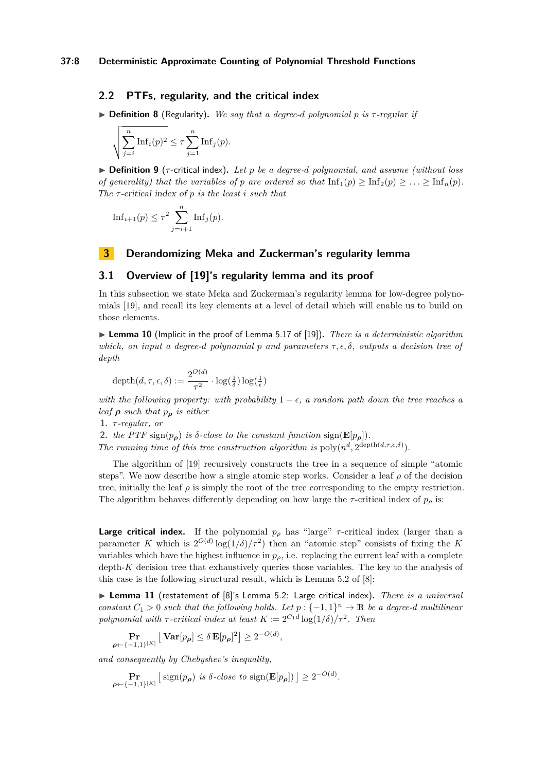## **2.2 PTFs, regularity, and the critical index**

<span id="page-7-2"></span>▶ **Definition 8** (Regularity)**.** *We say that a degree-d polynomial p is τ* -regular *if*

$$
\sqrt{\sum_{j=i}^{n} \text{Inf}_i(p)^2} \leq \tau \sum_{j=1}^{n} \text{Inf}_j(p).
$$

▶ **Definition 9** (*τ* -critical index)**.** *Let p be a degree-d polynomial, and assume (without loss of generality) that the variables of p* are ordered so that  $\text{Inf}_1(p) \geq \text{Inf}_2(p) \geq \ldots \geq \text{Inf}_n(p)$ . *The τ* -critical index of *p is the least i such that*

$$
\mathrm{Inf}_{i+1}(p) \le \tau^2 \sum_{j=i+1}^n \mathrm{Inf}_j(p).
$$

## **3 Derandomizing Meka and Zuckerman's regularity lemma**

## **3.1 Overview of [\[19\]](#page-15-0)'s regularity lemma and its proof**

In this subsection we state Meka and Zuckerman's regularity lemma for low-degree polynomials [\[19\]](#page-15-0), and recall its key elements at a level of detail which will enable us to build on those elements.

<span id="page-7-1"></span>▶ **Lemma 10** (Implicit in the proof of Lemma 5.17 of [\[19\]](#page-15-0))**.** *There is a deterministic algorithm which, on input a degree-d polynomial p and parameters τ, ϵ, δ, outputs a decision tree of depth*

$$
\operatorname{depth}(d, \tau, \epsilon, \delta) := \frac{2^{O(d)}}{\tau^2} \cdot \log(\frac{1}{\delta}) \log(\frac{1}{\epsilon})
$$

*with the following property: with probability*  $1 - \epsilon$ , a random path down the tree reaches a *leaf ρ such that p<sup>ρ</sup> is either*

**1.** *τ -regular, or*

*ρ*←{−1*,*1}[*K*]

2. *the PTF* sign( $p_{\rho}$ ) *is*  $\delta$ *-close to the constant function* sign( $\mathbf{E}[p_{\rho}]$ ).

*The running time of this tree construction algorithm is*  $\text{poly}(n^d, 2^{\text{depth}(d,\tau,\epsilon,\delta)})$ .

The algorithm of [\[19\]](#page-15-0) recursively constructs the tree in a sequence of simple "atomic steps". We now describe how a single atomic step works. Consider a leaf *ρ* of the decision tree; initially the leaf  $\rho$  is simply the root of the tree corresponding to the empty restriction. The algorithm behaves differently depending on how large the  $\tau$ -critical index of  $p_\rho$  is:

**Large critical index.** If the polynomial  $p_\rho$  has "large"  $\tau$ -critical index (larger than a parameter *K* which is  $2^{O(d)} \log(1/\delta)/\tau^2$  then an "atomic step" consists of fixing the *K* variables which have the highest influence in  $p_{\rho}$ , i.e. replacing the current leaf with a complete depth-*K* decision tree that exhaustively queries those variables. The key to the analysis of this case is the following structural result, which is Lemma 5.2 of [\[8\]](#page-15-19):

<span id="page-7-0"></span>▶ **Lemma 11** (restatement of [\[8\]](#page-15-19)'s Lemma 5.2: Large critical index)**.** *There is a universal constant*  $C_1 > 0$  *such that the following holds. Let*  $p: \{-1, 1\}^n \to \mathbb{R}$  *be a degree-d multilinear polynomial with*  $\tau$ -*critical index at least*  $K \coloneqq 2^{C_1 d} \log(1/\delta)/\tau^2$ . Then

*,*

$$
\Pr_{\{-1,1\}^{[K]}}\big[\operatorname{{\bf Var}}[p_{\boldsymbol{\rho}}] \leq \delta\operatorname{{\bf E}}[p_{\boldsymbol{\rho}}]^2\big] \geq 2^{-O(d)}
$$

*and consequently by Chebyshev's inequality,*

$$
\Pr_{\boldsymbol{\rho} \leftarrow \{-1,1\}^{[K]}} \left[ \text{sign}(p_{\boldsymbol{\rho}}) \text{ is } \delta\text{-close to } \text{sign}(\mathbf{E}[p_{\boldsymbol{\rho}}]) \right] \ge 2^{-O(d)}.
$$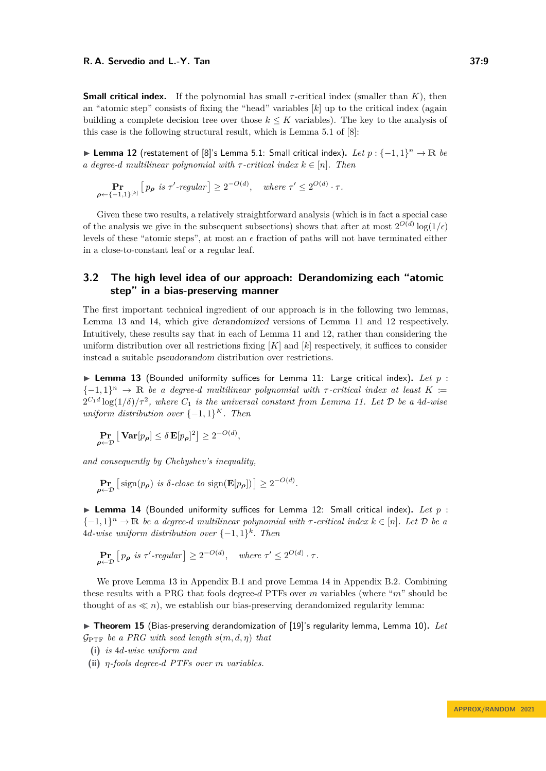**Small critical index.** If the polynomial has small *τ* -critical index (smaller than *K*), then an "atomic step" consists of fixing the "head" variables  $[k]$  up to the critical index (again building a complete decision tree over those  $k \leq K$  variables). The key to the analysis of this case is the following structural result, which is Lemma 5.1 of [\[8\]](#page-15-19):

<span id="page-8-3"></span>▶ **Lemma 12** (restatement of [\[8\]](#page-15-19)'s Lemma 5.1: Small critical index)**.** *Let p* : {−1*,* 1} *<sup>n</sup>* → R *be a degree-d multilinear polynomial with*  $\tau$ -critical index  $k \in [n]$ *. Then* 

$$
\Pr_{\boldsymbol{\rho} \leftarrow \{-1,1\}^{[k]}} \left[ p_{\boldsymbol{\rho}} \text{ is } \tau' \text{-regular} \right] \ge 2^{-O(d)}, \quad \text{where } \tau' \le 2^{O(d)} \cdot \tau.
$$

Given these two results, a relatively straightforward analysis (which is in fact a special case of the analysis we give in the subsequent subsections) shows that after at most  $2^{O(d)} \log(1/\epsilon)$ levels of these "atomic steps", at most an  $\epsilon$  fraction of paths will not have terminated either in a close-to-constant leaf or a regular leaf.

# **3.2 The high level idea of our approach: Derandomizing each "atomic step" in a bias-preserving manner**

The first important technical ingredient of our approach is in the following two lemmas, Lemma [13](#page-8-1) and [14,](#page-8-2) which give derandomized versions of Lemma [11](#page-7-0) and [12](#page-8-3) respectively. Intuitively, these results say that in each of Lemma [11](#page-7-0) and [12,](#page-8-3) rather than considering the uniform distribution over all restrictions fixing  $[K]$  and  $[k]$  respectively, it suffices to consider instead a suitable pseudorandom distribution over restrictions.

<span id="page-8-1"></span>▶ Lemma 13 (Bounded uniformity suffices for Lemma [11:](#page-7-0) Large critical index). Let p:  ${-1, 1}$ <sup>n</sup>  $\rightarrow \mathbb{R}$  *be a degree-d multilinear polynomial with τ*-*critical index at least*  $K :=$  $2^{C_1d}\log(1/\delta)/\tau^2$ , where  $C_1$  *is the universal constant from Lemma [11.](#page-7-0)* Let  $\mathcal D$  be a 4*d*-wise *uniform distribution over*  $\{-1, 1\}^K$ *. Then* 

$$
\Pr_{\boldsymbol{\rho} \leftarrow \mathcal{D}} \left[ \mathbf{Var}[p_{\boldsymbol{\rho}}] \le \delta \mathbf{E}[p_{\boldsymbol{\rho}}]^2 \right] \ge 2^{-O(d)},
$$

*and consequently by Chebyshev's inequality,*

$$
\Pr_{\boldsymbol{\rho} \leftarrow \mathcal{D}} \left[ \text{sign}(p_{\boldsymbol{\rho}}) \text{ is } \delta\text{-close to } \text{sign}(\mathbf{E}[p_{\boldsymbol{\rho}}]) \right] \ge 2^{-O(d)}.
$$

<span id="page-8-2"></span>▶ **Lemma 14** (Bounded uniformity suffices for Lemma [12:](#page-8-3) Small critical index)**.** *Let p* :  ${-1, 1}^n \rightarrow \mathbb{R}$  *be a degree-d multilinear polynomial with*  $\tau$ -critical index  $k \in [n]$ *. Let*  $\mathcal{D}$  *be a*  $4d$ *-wise uniform distribution over*  $\{-1,1\}^k$ *. Then* 

$$
\Pr_{\rho \leftarrow \mathcal{D}} \left[ p_{\rho} \text{ is } \tau' \text{-regular} \right] \ge 2^{-O(d)}, \quad \text{where } \tau' \le 2^{O(d)} \cdot \tau.
$$

We prove Lemma [13](#page-8-1) in Appendix [B.1](#page-16-3) and prove Lemma [14](#page-8-2) in Appendix [B.2.](#page-17-1) Combining these results with a PRG that fools degree-*d* PTFs over *m* variables (where "*m*" should be thought of as  $\ll n$ , we establish our bias-preserving derandomized regularity lemma:

<span id="page-8-0"></span>▶ **Theorem 15** (Bias-preserving derandomization of [\[19\]](#page-15-0)'s regularity lemma, Lemma [10\)](#page-7-1)**.** *Let*  $G_{\text{PTF}}$  *be a PRG with seed length*  $s(m, d, \eta)$  *that* 

- **(i)** *is* 4*d-wise uniform and*
- **(ii)** *η-fools degree-d PTFs over m variables.*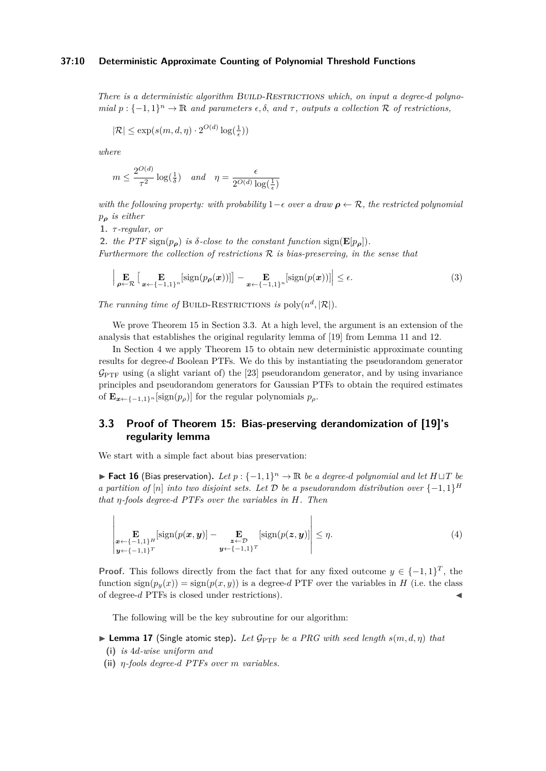#### **37:10 Deterministic Approximate Counting of Polynomial Threshold Functions**

*There is a deterministic algorithm BUILD-RESTRICTIONS which, on input a degree-d polynomial*  $p: \{-1, 1\}^n \to \mathbb{R}$  *and parameters*  $\epsilon, \delta$ , *and*  $\tau$ , *outputs a collection*  $\mathcal{R}$  *of restrictions,* 

$$
|\mathcal{R}| \le \exp(s(m, d, \eta) \cdot 2^{O(d)} \log(\frac{1}{\epsilon}))
$$

*where*

$$
m \le \frac{2^{O(d)}}{\tau^2} \log(\frac{1}{\delta}) \quad and \quad \eta = \frac{\epsilon}{2^{O(d)} \log(\frac{1}{\epsilon})}
$$

*with the following property: with probability* 1−*ϵ over a draw ρ* ← R*, the restricted polynomial p<sup>ρ</sup> is either*

**1.** *τ -regular, or*

2. *the PTF* sign( $p_{\rho}$ ) *is*  $\delta$ *-close to the constant function* sign( $\mathbf{E}[p_{\rho}]$ ). *Furthermore the collection of restrictions* R *is bias-preserving, in the sense that*

<span id="page-9-3"></span>
$$
\left| \underset{\boldsymbol{\rho} \leftarrow \mathcal{R}}{\mathbf{E}} \left[ \underset{\boldsymbol{x} \leftarrow \{-1,1\}^n}{\mathbf{E}} \left[ sign(p_{\boldsymbol{\rho}}(\boldsymbol{x})) \right] \right] - \underset{\boldsymbol{x} \leftarrow \{-1,1\}^n}{\mathbf{E}} \left[ sign(p(\boldsymbol{x})) \right] \right| \le \epsilon.
$$
 (3)

*The running time of* BUILD-RESTRICTIONS *is* poly $(n^d, |\mathcal{R}|)$ *.* 

We prove Theorem [15](#page-8-0) in Section [3.3.](#page-9-0) At a high level, the argument is an extension of the analysis that establishes the original regularity lemma of [\[19\]](#page-15-0) from Lemma [11](#page-7-0) and [12.](#page-8-3)

In Section [4](#page-12-0) we apply Theorem [15](#page-8-0) to obtain new deterministic approximate counting results for degree-*d* Boolean PTFs. We do this by instantiating the pseudorandom generator  $\mathcal{G}_{\text{PTF}}$  using (a slight variant of) the [\[23\]](#page-16-0) pseudorandom generator, and by using invariance principles and pseudorandom generators for Gaussian PTFs to obtain the required estimates of  $\mathbf{E}_{\mathbf{x} \leftarrow \{-1,1\}^n}$  [sign( $p_\rho$ )] for the regular polynomials  $p_\rho$ .

# <span id="page-9-0"></span>**3.3 Proof of Theorem [15:](#page-8-0) Bias-preserving derandomization of [\[19\]](#page-15-0)'s regularity lemma**

<span id="page-9-1"></span>We start with a simple fact about bias preservation:

▶ **Fact 16** (Bias preservation). Let  $p: \{-1, 1\}^n \to \mathbb{R}$  be a degree-*d* polynomial and let  $H \sqcup T$  be *a partition of* [*n*] *into two disjoint sets. Let*  $\mathcal{D}$  *be a pseudorandom distribution over*  $\{-1,1\}^H$ *that η-fools degree-d PTFs over the variables in H. Then*

$$
\left| \underset{\boldsymbol{y} \leftarrow \{-1,1\}^T}{\mathbf{E}} \left[ sign(p(\boldsymbol{x}, \boldsymbol{y}) \right] - \underset{\boldsymbol{y} \leftarrow \{-1,1\}^T}{\mathbf{E}} \left[ sign(p(\boldsymbol{z}, \boldsymbol{y}) \right] \right] \leq \eta. \tag{4}
$$

**Proof.** This follows directly from the fact that for any fixed outcome  $y \in \{-1, 1\}^T$ , the function  $\text{sign}(p_y(x)) = \text{sign}(p(x, y))$  is a degree-*d* PTF over the variables in *H* (i.e. the class of degree-*d* PTFs is closed under restrictions). ◀

The following will be the key subroutine for our algorithm:

<span id="page-9-2"></span> $\blacktriangleright$  **Lemma 17** (Single atomic step). Let  $\mathcal{G}_{\text{PTF}}$  be a PRG with seed length  $s(m, d, \eta)$  that

- **(i)** *is* 4*d-wise uniform and*
- **(ii)** *η-fools degree-d PTFs over m variables.*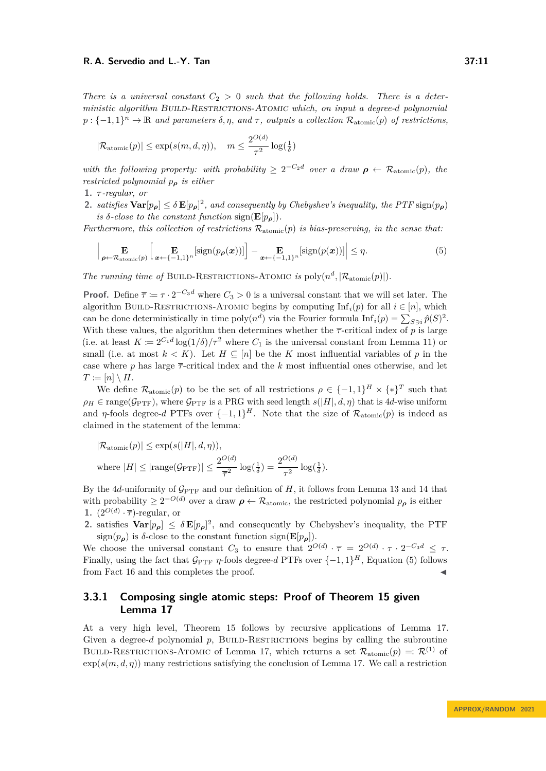*There is a universal constant*  $C_2 > 0$  *such that the following holds. There is a deterministic algorithm* Build-Restrictions-Atomic *which, on input a degree-d polynomial*  $p: \{-1,1\}^n \to \mathbb{R}$  *and parameters*  $\delta, \eta$ , *and*  $\tau$ , *outputs a collection*  $\mathcal{R}_{atomic}(p)$  *of restrictions,* 

$$
|\mathcal{R}_{atomic}(p)| \le \exp(s(m, d, \eta)), \quad m \le \frac{2^{O(d)}}{\tau^2} \log(\frac{1}{\delta})
$$

with the following property: with probability  $\geq 2^{-C_2d}$  over a draw  $\rho \leftarrow \mathcal{R}_{atomic}(p)$ , the *restricted polynomial p<sup>ρ</sup> is either*

**1.** *τ -regular, or*

**2.** *satisfies*  $\text{Var}[p_{\rho}] \leq \delta \mathbf{E}[p_{\rho}]^2$ , *and consequently by Chebyshev's inequality, the PTF* sign $(p_{\rho})$ *is*  $\delta$ *-close to the constant function* sign( $\mathbf{E}[p_{o}]$ ).

*Furthermore, this collection of restrictions* Ratomic(*p*) *is bias-preserving, in the sense that:*

<span id="page-10-0"></span>
$$
\left| \underset{\rho \leftarrow \mathcal{R}_{\text{atomic}}(p)}{\mathbf{E}} \left[ \underset{\mathbf{x} \leftarrow \{-1,1\}^n}{\mathbf{E}} \left[ \text{sign}(p_{\rho}(\mathbf{x})) \right] \right] - \underset{\mathbf{x} \leftarrow \{-1,1\}^n}{\mathbf{E}} \left[ \text{sign}(p(\mathbf{x})) \right] \right| \le \eta. \tag{5}
$$

*The running time of* BUILD-RESTRICTIONS-ATOMIC *is* poly $(n^d, |R_{atomic}(p)|)$ .

**Proof.** Define  $\overline{\tau} := \tau \cdot 2^{-C_3 d}$  where  $C_3 > 0$  is a universal constant that we will set later. The algorithm BUILD-RESTRICTIONS-ATOMIC begins by computing  $\text{Inf}_i(p)$  for all  $i \in [n]$ , which can be done deterministically in time  $\text{poly}(n^d)$  via the Fourier formula  $\text{Inf}_i(p) = \sum_{S \ni i} \hat{p}(S)^2$ . With these values, the algorithm then determines whether the  $\bar{\tau}$ -critical index of  $p$  is large (i.e. at least  $K := 2^{C_1 d} \log(1/\delta) / \overline{\tau}^2$  where  $C_1$  is the universal constant from Lemma [11\)](#page-7-0) or small (i.e. at most  $k < K$ ). Let  $H \subseteq [n]$  be the K most influential variables of p in the case where  $p$  has large  $\bar{\tau}$ -critical index and the  $k$  most influential ones otherwise, and let  $T \coloneqq [n] \setminus H$ .

We define  $\mathcal{R}_{atomic}(p)$  to be the set of all restrictions  $\rho \in \{-1,1\}^H \times \{*\}^T$  such that  $\rho_H \in \text{range}(\mathcal{G}_{\text{PTF}})$ , where  $\mathcal{G}_{\text{PTF}}$  is a PRG with seed length  $s(|H|, d, \eta)$  that is 4*d*-wise uniform and *η*-fools degree-*d* PTFs over  $\{-1, 1\}$ <sup>*H*</sup>. Note that the size of  $\mathcal{R}_{atomic}(p)$  is indeed as claimed in the statement of the lemma:

$$
|\mathcal{R}_{\text{atomic}}(p)| \le \exp(s(|H|, d, \eta)),
$$
  
where  $|H| \le |\text{range}(\mathcal{G}_{\text{PTF}})| \le \frac{2^{O(d)}}{\overline{\tau}^2} \log(\frac{1}{\delta}) = \frac{2^{O(d)}}{\tau^2} \log(\frac{1}{\delta}).$ 

By the  $4d$ -uniformity of  $\mathcal{G}_{\text{PTF}}$  and our definition of *H*, it follows from Lemma [13](#page-8-1) and [14](#page-8-2) that with probability  $\geq 2^{-O(d)}$  over a draw  $\rho \leftarrow \mathcal{R}_{atomic}$ , the restricted polynomial  $p_{\rho}$  is either **1.**  $(2^{O(d)} \cdot \overline{\tau})$ -regular, or

**2.** satisfies  $\text{Var}[p_{\rho}] \leq \delta \mathbf{E}[p_{\rho}]^2$ , and consequently by Chebyshev's inequality, the PTF sign( $p_{\rho}$ ) is *δ*-close to the constant function sign( $\mathbf{E}[p_{\rho}]$ ).

We choose the universal constant  $C_3$  to ensure that  $2^{O(d)} \cdot \overline{\tau} = 2^{O(d)} \cdot \tau \cdot 2^{-C_3 d} \leq \tau$ . Finally, using the fact that  $\mathcal{G}_{\text{PTF}}$  *η*-fools degree-*d* PTFs over  $\{-1, 1\}^H$ , Equation [\(5\)](#page-10-0) follows from Fact [16](#page-9-1) and this completes the proof.

# **3.3.1 Composing single atomic steps: Proof of Theorem [15](#page-8-0) given Lemma [17](#page-9-2)**

At a very high level, Theorem [15](#page-8-0) follows by recursive applications of Lemma [17.](#page-9-2) Given a degree- $d$  polynomial  $p$ , BUILD-RESTRICTIONS begins by calling the subroutine BUILD-RESTRICTIONS-ATOMIC of Lemma [17,](#page-9-2) which returns a set  $\mathcal{R}_{atomic}(p) =: \mathcal{R}^{(1)}$  of  $\exp(s(m, d, \eta))$  many restrictions satisfying the conclusion of Lemma [17.](#page-9-2) We call a restriction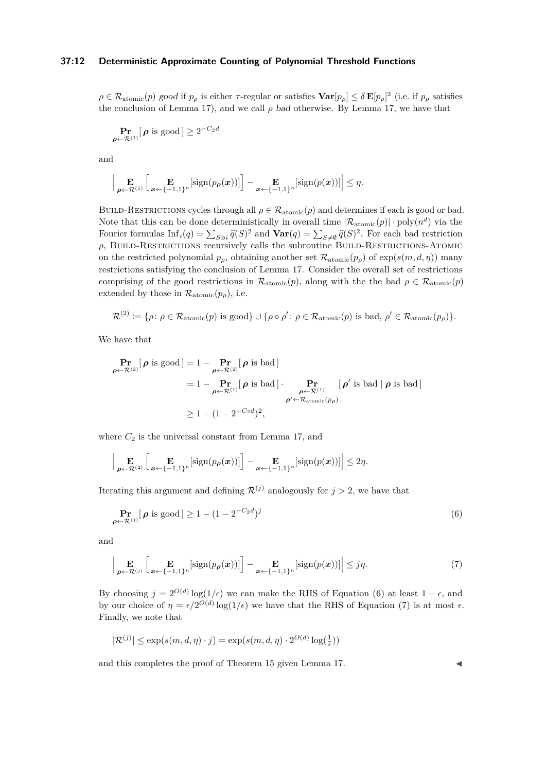## **37:12 Deterministic Approximate Counting of Polynomial Threshold Functions**

 $\rho \in \mathcal{R}_{atomic}(p)$  good if  $p_\rho$  is either *τ*-regular or satisfies  $\textbf{Var}[p_\rho] \leq \delta \mathbf{E}[p_\rho]^2$  (i.e. if  $p_\rho$  satisfies the conclusion of Lemma [17\)](#page-9-2), and we call  $\rho$  bad otherwise. By Lemma [17,](#page-9-2) we have that

$$
\Pr_{\boldsymbol{\rho} \leftarrow \mathcal{R}^{(1)}}[\boldsymbol{\rho} \text{ is good}] \ge 2^{-C_2 d}
$$

and

$$
\Big|\mathop{\mathbf{E}}_{\boldsymbol{\rho}\leftarrow\mathcal{R}^{(1)}}\Big[\mathop{\mathbf{E}}_{\boldsymbol{x}\leftarrow\{-1,1\}^n}[\text{sign}(p_{\boldsymbol{\rho}}(\boldsymbol{x}))]\Big] - \mathop{\mathbf{E}}_{\boldsymbol{x}\leftarrow\{-1,1\}^n}[\text{sign}(p(\boldsymbol{x}))]\Big| \leq \eta.
$$

BUILD-RESTRICTIONS cycles through all  $\rho \in \mathcal{R}_{atomic}(p)$  and determines if each is good or bad. Note that this can be done deterministically in overall time  $|\mathcal{R}_{atomic}(p)| \cdot \text{poly}(n^d)$  via the Fourier formulas  $\text{Inf}_i(q) = \sum_{S \ni i} \hat{q}(S)^2$  and  $\text{Var}(q) = \sum_{S \neq \emptyset} \hat{q}(S)^2$ . For each bad restriction  $\rho$ , BUILD-RESTRICTIONS recursively calls the subroutine BUILD-RESTRICTIONS-ATOMIC on the restricted polynomial  $p_\rho$ , obtaining another set  $\mathcal{R}_{\text{atomic}}(p_\rho)$  of  $\exp(s(m, d, \eta))$  many restrictions satisfying the conclusion of Lemma [17.](#page-9-2) Consider the overall set of restrictions comprising of the good restrictions in  $\mathcal{R}_{atomic}(p)$ , along with the the bad  $\rho \in \mathcal{R}_{atomic}(p)$ extended by those in  $\mathcal{R}_{atomic}(p_{\rho})$ , i.e.

$$
\mathcal{R}^{(2)} \coloneqq \{\rho \colon \rho \in \mathcal{R}_{\text{atomic}}(p) \text{ is good}\} \cup \{\rho \circ \rho' \colon \rho \in \mathcal{R}_{\text{atomic}}(p) \text{ is bad, } \rho' \in \mathcal{R}_{\text{atomic}}(p_{\rho})\}.
$$

We have that

$$
\begin{aligned}\n\mathbf{Pr}_{\boldsymbol{\rho}\leftarrow\mathcal{R}^{(2)}}[\boldsymbol{\rho} \text{ is good}] &= 1 - \mathbf{Pr}_{\boldsymbol{\rho}\leftarrow\mathcal{R}^{(2)}}[\boldsymbol{\rho} \text{ is bad}] \\
&= 1 - \mathbf{Pr}_{\boldsymbol{\rho}\leftarrow\mathcal{R}^{(1)}}[\boldsymbol{\rho} \text{ is bad}] \cdot \mathbf{Pr}_{\boldsymbol{\rho}\leftarrow\mathcal{R}^{(1)}}[\boldsymbol{\rho}' \text{ is bad } | \boldsymbol{\rho} \text{ is bad}] \\
&\stackrel{\boldsymbol{\rho}\leftarrow\mathcal{R}^{\text{atomic}}(p_{\boldsymbol{\rho}})}{\boldsymbol{\rho}' \leftarrow \mathcal{R}_{\text{atomic}}(p_{\boldsymbol{\rho}})}\n\end{aligned}
$$

where  $C_2$  is the universal constant from Lemma [17,](#page-9-2) and

$$
\Big|\mathop{\mathbf{E}}_{\boldsymbol{\rho}\leftarrow\mathcal{R}^{(2)}}\Big[\mathop{\mathbf{E}}_{\boldsymbol{x}\leftarrow\{-1,1\}^n}[\text{sign}(p_{\boldsymbol{\rho}}(\boldsymbol{x}))]\Big]-\mathop{\mathbf{E}}_{\boldsymbol{x}\leftarrow\{-1,1\}^n}[\text{sign}(p(\boldsymbol{x}))]\Big|\leq 2\eta.
$$

Iterating this argument and defining  $\mathcal{R}^{(j)}$  analogously for  $j > 2$ , we have that

<span id="page-11-0"></span>
$$
\Pr_{\boldsymbol{\rho} \leftarrow \mathcal{R}^{(j)}}[\boldsymbol{\rho} \text{ is good}] \ge 1 - (1 - 2^{-C_2 d})^j \tag{6}
$$

<span id="page-11-1"></span>and

$$
\left| \underset{\boldsymbol{\rho} \leftarrow \mathcal{R}^{(j)}}{\mathbf{E}} \left[ \underset{\boldsymbol{x} \leftarrow \{-1,1\}^n}{\mathbf{E}} \left[ sign(p_{\boldsymbol{\rho}}(\boldsymbol{x})) \right] \right] - \underset{\boldsymbol{x} \leftarrow \{-1,1\}^n}{\mathbf{E}} \left[ sign(p(\boldsymbol{x})) \right] \right| \leq j\eta.
$$
 (7)

By choosing  $j = 2^{O(d)} \log(1/\epsilon)$  we can make the RHS of Equation [\(6\)](#page-11-0) at least  $1 - \epsilon$ , and by our choice of  $\eta = \epsilon/2^{O(d)} \log(1/\epsilon)$  we have that the RHS of Equation [\(7\)](#page-11-1) is at most  $\epsilon$ . Finally, we note that

$$
|\mathcal{R}^{(j)}| \le \exp(s(m, d, \eta) \cdot j) = \exp(s(m, d, \eta) \cdot 2^{O(d)} \log(\frac{1}{\epsilon}))
$$

and this completes the proof of Theorem [15](#page-8-0) given Lemma [17.](#page-9-2)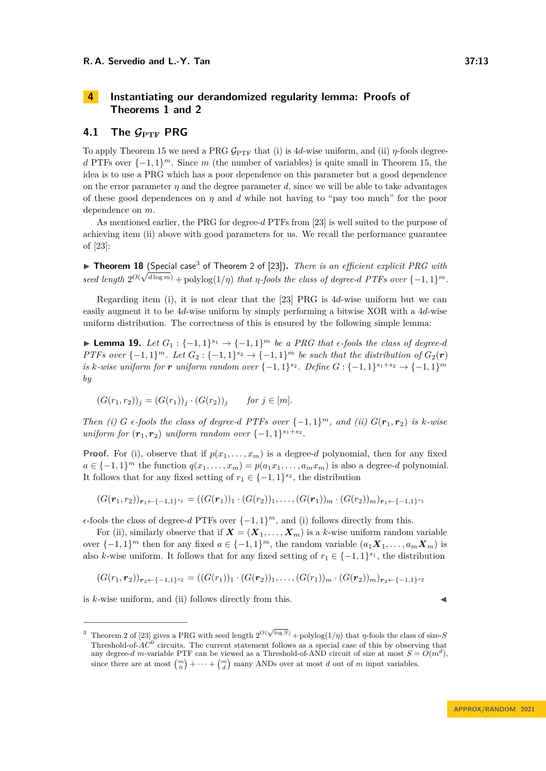# <span id="page-12-0"></span>**4 Instantiating our derandomized regularity lemma: Proofs of Theorems [1](#page-2-1) and [2](#page-2-2)**

## **4.1** The  $\mathcal{G}_{\text{PTF}}$  PRG

To apply Theorem [15](#page-8-0) we need a PRG  $\mathcal{G}_{\text{PTF}}$  that (i) is 4*d*-wise uniform, and (ii) *η*-fools degree*d* PTFs over  $\{-1, 1\}^m$ . Since *m* (the number of variables) is quite small in Theorem [15,](#page-8-0) the idea is to use a PRG which has a poor dependence on this parameter but a good dependence on the error parameter *η* and the degree parameter *d*, since we will be able to take advantages of these good dependences on *η* and *d* while not having to "pay too much" for the poor dependence on *m*.

As mentioned earlier, the PRG for degree-*d* PTFs from [\[23\]](#page-16-0) is well suited to the purpose of achieving item (ii) above with good parameters for us. We recall the performance guarantee of [\[23\]](#page-16-0):

<span id="page-12-2"></span>▶ **Theorem 18** (Special case<sup>[3](#page-12-1)</sup> of Theorem 2 of [\[23\]](#page-16-0)). *There is an efficient explicit PRG with seed length*  $2^{O(\sqrt{d}\log m)}$  + polylog $(1/\eta)$  *that η-fools the class of degree-d PTFs over*  $\{-1,1\}^m$ *.* 

Regarding item (i), it is not clear that the [\[23\]](#page-16-0) PRG is 4*d*-wise uniform but we can easily augment it to be 4*d*-wise uniform by simply performing a bitwise XOR with a 4*d*-wise uniform distribution. The correctness of this is ensured by the following simple lemma:

▶ **Lemma 19.** *Let*  $G_1$  :  $\{-1,1\}^{s_1}$  →  $\{-1,1\}^m$  *be a PRG that*  $\epsilon$ -fools *the class of degree-d PTFs over*  $\{-1,1\}^m$ *. Let*  $G_2$  :  $\{-1,1\}^{s_2} \rightarrow \{-1,1\}^m$  *be such that the distribution of*  $G_2(\mathbf{r})$ *is k-wise uniform for r uniform random over*  $\{-1, 1\}^{s_2}$ *. Define*  $G: \{-1, 1\}^{s_1 + s_2} \to \{-1, 1\}^m$ *by*

$$
(G(r_1, r_2))_j = (G(r_1))_j \cdot (G(r_2))_j \quad \text{for } j \in [m].
$$

*Then* (i) *G*  $\epsilon$ -fools the class of degree-*d PTFs over*  $\{-1,1\}^m$ *, and (ii)*  $G(\mathbf{r}_1,\mathbf{r}_2)$  *is*  $k$ -wise *uniform for*  $(r_1, r_2)$  *uniform random over*  $\{-1, 1\}^{s_1+s_2}$ *.* 

**Proof.** For (i), observe that if  $p(x_1, \ldots, x_m)$  is a degree-*d* polynomial, then for any fixed  $a \in \{-1, 1\}^m$  the function  $q(x_1, \ldots, x_m) = p(a_1 x_1, \ldots, a_m x_m)$  is also a degree-*d* polynomial. It follows that for any fixed setting of  $r_1 \in \{-1, 1\}^{s_2}$ , the distribution

$$
(G(\mathbf{r}_1,r_2))_{\mathbf{r}_1 \leftarrow \{-1,1\}^{s_1}} = ((G(\mathbf{r}_1))_1 \cdot (G(r_2))_1, \ldots, (G(\mathbf{r}_1))_m \cdot (G(r_2))_m)_{\mathbf{r}_1 \leftarrow \{-1,1\}^{s_1}}
$$

 $\epsilon$ -fools the class of degree-*d* PTFs over  $\{-1, 1\}^m$ , and (i) follows directly from this.

For (ii), similarly observe that if  $\mathbf{X} = (\mathbf{X}_1, \ldots, \mathbf{X}_m)$  is a *k*-wise uniform random variable over  $\{-1, 1\}^m$  then for any fixed  $a \in \{-1, 1\}^m$ , the random variable  $(a_1 X_1, \ldots, a_m X_m)$  is also *k*-wise uniform. It follows that for any fixed setting of  $r_1 \in \{-1, 1\}^{s_1}$ , the distribution

$$
(G(r_1,r_2))_{r_2 \leftarrow \{-1,1\}^{s_2}} = ((G(r_1))_1 \cdot (G(r_2))_1, \ldots, (G(r_1))_m \cdot (G(r_2))_m)_{r_2 \leftarrow \{-1,1\}^{s_2}}
$$

is  $k$ -wise uniform, and (ii) follows directly from this.

<span id="page-12-1"></span><sup>&</sup>lt;sup>3</sup> Theorem 2 of [\[23\]](#page-16-0) gives a PRG with seed length  $2^{O(\sqrt{\log S})}$  + polylog( $1/\eta$ ) that *η*-fools the class of size-*S* Threshold-of-*AC*<sup>0</sup> circuits. The current statement follows as a special case of this by observing that any degree-*d* m-variable PTF can be viewed as a Threshold-of-AND circuit of size at most  $S = \tilde{O}(m^d)$ , since there are at most  $\binom{m}{0} + \cdots + \binom{m}{d}$  many ANDs over at most *d* out of *m* input variables.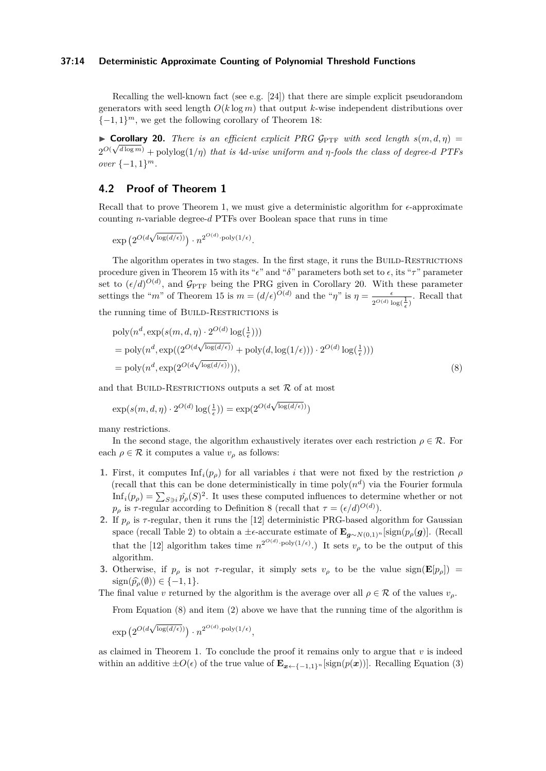#### **37:14 Deterministic Approximate Counting of Polynomial Threshold Functions**

Recalling the well-known fact (see e.g.  $[24]$ ) that there are simple explicit pseudorandom generators with seed length *O*(*k* log *m*) that output *k*-wise independent distributions over  $\{-1, 1\}^m$ , we get the following corollary of Theorem [18:](#page-12-2)

<span id="page-13-0"></span>▶ **Corollary 20.** *There is an efficient explicit PRG*  $\mathcal{G}_{\text{PTF}}$  *with seed length*  $s(m, d, \eta) =$  $2^{O(\sqrt{d}\log m)}$  + polylog $(1/\eta)$  *that is* 4*d-wise uniform and η-fools the class of degree-d PTFs over* {−1*,* 1} *m.*

## **4.2 Proof of Theorem [1](#page-2-1)**

Recall that to prove Theorem [1,](#page-2-1) we must give a deterministic algorithm for *ϵ*-approximate counting *n*-variable degree-*d* PTFs over Boolean space that runs in time

$$
\exp\left(2^{O(d\sqrt{\log(d/\epsilon)})}\right)\cdot n^{2^{O(d)}\cdot \text{poly}(1/\epsilon)}.
$$

The algorithm operates in two stages. In the first stage, it runs the BUILD-RESTRICTIONS procedure given in Theorem [15](#page-8-0) with its " $\epsilon$ " and " $\delta$ " parameters both set to  $\epsilon$ , its " $\tau$ " parameter set to  $(\epsilon/d)^{O(d)}$ , and  $\mathcal{G}_{\text{PTF}}$  being the PRG given in Corollary [20.](#page-13-0) With these parameter settings the "*m*" of Theorem [15](#page-8-0) is  $m = (d/\epsilon)^{O(d)}$  and the "*η*" is  $\eta = \frac{\epsilon}{2^{O(d)} \log(\frac{1}{\epsilon})}$ . Recall that

the running time of BUILD-RESTRICTIONS is

<span id="page-13-1"></span>
$$
poly(n^d, \exp(s(m, d, \eta) \cdot 2^{O(d)} \log(\frac{1}{\epsilon})))
$$
  
= 
$$
poly(n^d, \exp((2^{O(d\sqrt{\log(d/\epsilon)})} + \text{poly}(d, \log(1/\epsilon))) \cdot 2^{O(d)} \log(\frac{1}{\epsilon})))
$$
  
= 
$$
poly(n^d, \exp(2^{O(d\sqrt{\log(d/\epsilon)})}))),
$$
 (8)

and that BUILD-RESTRICTIONS outputs a set  $\mathcal R$  of at most

$$
\exp(s(m, d, \eta) \cdot 2^{O(d)} \log(\frac{1}{\epsilon})) = \exp(2^{O(d\sqrt{\log(d/\epsilon)})})
$$

many restrictions.

In the second stage, the algorithm exhaustively iterates over each restriction  $\rho \in \mathcal{R}$ . For each  $\rho \in \mathcal{R}$  it computes a value  $v_{\rho}$  as follows:

- **1.** First, it computes  $\text{Inf}_i(p_\rho)$  for all variables *i* that were not fixed by the restriction  $\rho$ (recall that this can be done deterministically in time  $poly(n^d)$  via the Fourier formula  $\text{Inf}_i(p_\rho) = \sum_{S \ni i} \hat{p_\rho}(S)^2$ . It uses these computed influences to determine whether or not *p*<sub>*ρ*</sub> is *τ*-regular according to Definition [8](#page-7-2) (recall that  $τ = (ε/d)^{O(d)}$ ).
- **2.** If  $p_\rho$  is  $\tau$ -regular, then it runs the [\[12\]](#page-15-3) deterministic PRG-based algorithm for Gaussian space (recall Table [2\)](#page-2-0) to obtain a  $\pm \epsilon$ -accurate estimate of  $\mathbf{E}_{\mathbf{g}\sim N(0,1)^n}[\text{sign}(p_{\rho}(\mathbf{g})]$ . (Recall that the [\[12\]](#page-15-3) algorithm takes time  $n^{2^{O(d)} \cdot \text{poly}(1/\epsilon)}$ .) It sets  $v_\rho$  to be the output of this algorithm.
- **3.** Otherwise, if  $p_\rho$  is not  $\tau$ -regular, it simply sets  $v_\rho$  to be the value sign( $\mathbf{E}[p_\rho]$ ) =  $sign(\widehat{p}_{\rho}(\emptyset)) \in \{-1, 1\}.$

The final value *v* returned by the algorithm is the average over all  $\rho \in \mathcal{R}$  of the values  $v_{\rho}$ .

From Equation [\(8\)](#page-13-1) and item (2) above we have that the running time of the algorithm is

 $\exp\left(2^{O(d\sqrt{1-\lambda^2}}\right)$  $\overline{\log(d/\epsilon)}$ )  $\cdot n^{2^{O(d)} \cdot \mathrm{poly}(1/\epsilon)},$ 

as claimed in Theorem [1.](#page-2-1) To conclude the proof it remains only to argue that  $v$  is indeed within an additive  $\pm O(\epsilon)$  of the true value of  $\mathbf{E}_{\mathbf{x}\leftarrow\{-1,1\}^n}[\text{sign}(p(\mathbf{x}))]$ . Recalling Equation [\(3\)](#page-9-3)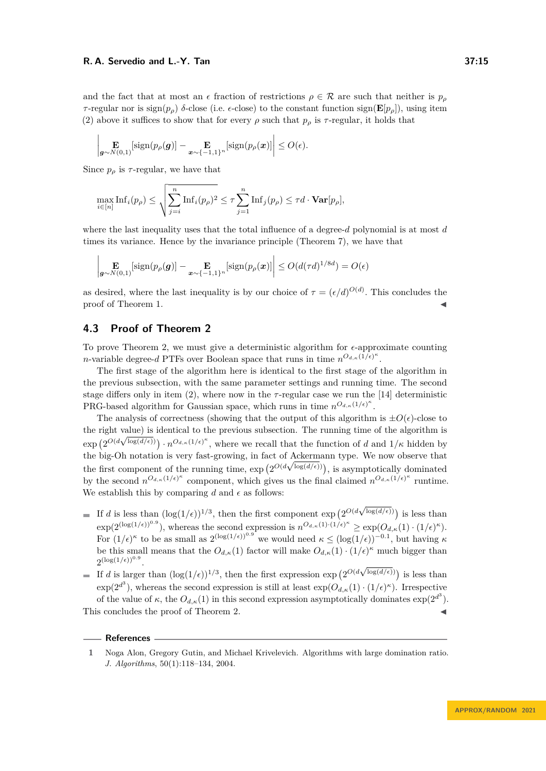and the fact that at most an  $\epsilon$  fraction of restrictions  $\rho \in \mathcal{R}$  are such that neither is  $p_\rho$ *τ*-regular nor is  $sign(p<sub>ρ</sub>)$  *δ*-close (i.e.  $\epsilon$ -close) to the constant function  $sign(\mathbf{E}[p<sub>ρ</sub>])$ , using item (2) above it suffices to show that for every  $\rho$  such that  $p_\rho$  is  $\tau$ -regular, it holds that

$$
\left|\mathbf{E}_{\boldsymbol{g}\sim N(0,1)}\left[\text{sign}(p_{\rho}(\boldsymbol{g})\right]-\mathbf{E}_{\boldsymbol{x}\sim\{-1,1\}^n}\left[\text{sign}(p_{\rho}(\boldsymbol{x})\right]\right|\leq O(\epsilon).
$$

Since  $p_{\rho}$  is  $\tau$ -regular, we have that

$$
\max_{i \in [n]} \mathrm{Inf}_i(p_\rho) \le \sqrt{\sum_{j=i}^n \mathrm{Inf}_i(p_\rho)^2} \le \tau \sum_{j=1}^n \mathrm{Inf}_j(p_\rho) \le \tau d \cdot \mathbf{Var}[p_\rho],
$$

where the last inequality uses that the total influence of a degree-*d* polynomial is at most *d* times its variance. Hence by the invariance principle (Theorem [7\)](#page-6-4), we have that

$$
\left|\mathop{\mathbf{E}}_{\boldsymbol{g}\sim N(0,1)}\left[\text{sign}(p_{\rho}(\boldsymbol{g})\right]-\mathop{\mathbf{E}}_{\boldsymbol{x}\sim\{-1,1\}^n}\left[\text{sign}(p_{\rho}(\boldsymbol{x})\right]\right|\leq O(d(\tau d)^{1/8d})=O(\epsilon)
$$

as desired, where the last inequality is by our choice of  $\tau = (\epsilon/d)^{O(d)}$ . This concludes the proof of Theorem [1.](#page-2-1)

## **4.3 Proof of Theorem [2](#page-2-2)**

To prove Theorem [2,](#page-2-2) we must give a deterministic algorithm for *ϵ*-approximate counting *n*-variable degree-*d* PTFs over Boolean space that runs in time  $n^{O_{d,\kappa}(1/\epsilon)^{\kappa}}$ .

The first stage of the algorithm here is identical to the first stage of the algorithm in the previous subsection, with the same parameter settings and running time. The second stage differs only in item  $(2)$ , where now in the  $\tau$ -regular case we run the [\[14\]](#page-15-6) deterministic PRG-based algorithm for Gaussian space, which runs in time  $n^{O_{d,\kappa}(1/\epsilon)^{\kappa}}$ .

The analysis of correctness (showing that the output of this algorithm is  $\pm O(\epsilon)$ -close to the right value) is identical to the previous subsection. The running time of the algorithm is  $\exp\left(2^{O(d\sqrt{\log(d/\epsilon)})}\right) \cdot n^{O_{d,\kappa}(1/\epsilon)^{\kappa}},$  where we recall that the function of *d* and  $1/\kappa$  hidden by the big-Oh notation is very fast-growing, in fact of Ackermann type. We now observe that √ the first component of the running time,  $\exp\left(2^{O(d\sqrt{\log(d/\epsilon)})}\right)$ , is asymptotically dominated by the second  $n^{O_{d,\kappa}(1/\epsilon)^{\kappa}}$  component, which gives us the final claimed  $n^{O_{d,\kappa}(1/\epsilon)^{\kappa}}$  runtime. We establish this by comparing  $d$  and  $\epsilon$  as follows:

- If *d* is less than  $(\log(1/\epsilon))^{1/3}$ , then the first component  $\exp(2^{O(d\sqrt{\epsilon})})$  $\log(d/\epsilon)$ ) is less than  $\exp(2^{(\log(1/\epsilon))^{0.9}})$ , whereas the second expression is  $n^{O_{d,\kappa}(1)\cdot(1/\epsilon)^{\kappa}} \geq \exp(O_{d,\kappa}(1)\cdot(1/\epsilon)^{\kappa})$ . For  $(1/\epsilon)^{\kappa}$  to be as small as  $2^{(\log(1/\epsilon))^{0.9}}$  we would need  $\kappa \leq (\log(1/\epsilon))^{-0.1}$ , but having  $\kappa$ be this small means that the  $O_{d,\kappa}(1)$  factor will make  $O_{d,\kappa}(1) \cdot (1/\epsilon)^{\kappa}$  much bigger than  $2^{(\log(1/\epsilon))^{0.9}}$ .
- If *d* is larger than  $(\log(1/\epsilon))^{1/3}$ , then the first expression  $\exp(2^{O(d\sqrt{\epsilon})})$  $\log(d/\epsilon)$ ) is less than  $\exp(2^{d^3})$ , whereas the second expression is still at least  $\exp(O_{d,\kappa}(1)\cdot(1/\epsilon)^{\kappa})$ . Irrespective of the value of  $\kappa$ , the  $O_{d,\kappa}(1)$  in this second expression asymptotically dominates  $\exp(2^{d^3})$ .

This concludes the proof of Theorem [2.](#page-2-2)

#### **References**

<span id="page-14-0"></span>**<sup>1</sup>** Noga Alon, Gregory Gutin, and Michael Krivelevich. Algorithms with large domination ratio. *J. Algorithms*, 50(1):118–134, 2004.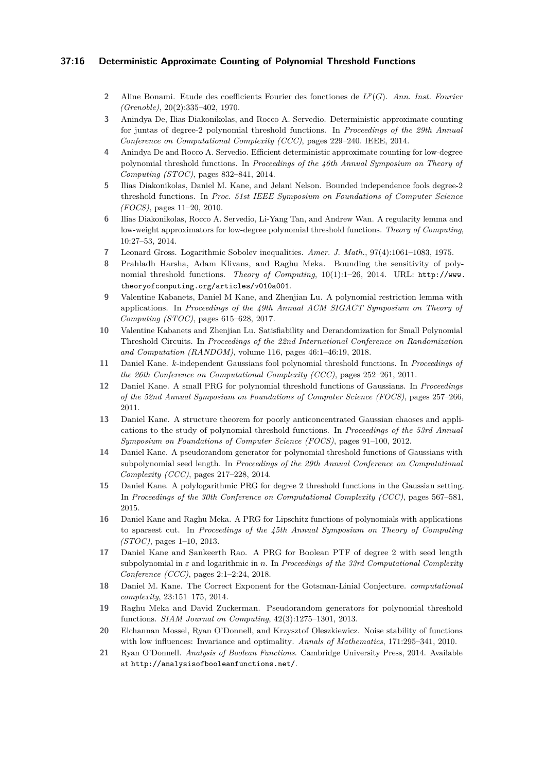## **37:16 Deterministic Approximate Counting of Polynomial Threshold Functions**

- <span id="page-15-16"></span>**2** Aline Bonami. Etude des coefficients Fourier des fonctiones de *L p* (*G*). *Ann. Inst. Fourier (Grenoble)*, 20(2):335–402, 1970.
- <span id="page-15-7"></span>**3** Anindya De, Ilias Diakonikolas, and Rocco A. Servedio. Deterministic approximate counting for juntas of degree-2 polynomial threshold functions. In *Proceedings of the 29th Annual Conference on Computational Complexity (CCC)*, pages 229–240. IEEE, 2014.
- <span id="page-15-8"></span>**4** Anindya De and Rocco A. Servedio. Efficient deterministic approximate counting for low-degree polynomial threshold functions. In *Proceedings of the 46th Annual Symposium on Theory of Computing (STOC)*, pages 832–841, 2014.
- <span id="page-15-2"></span>**5** Ilias Diakonikolas, Daniel M. Kane, and Jelani Nelson. Bounded independence fools degree-2 threshold functions. In *Proc. 51st IEEE Symposium on Foundations of Computer Science (FOCS)*, pages 11–20, 2010.
- <span id="page-15-14"></span>**6** Ilias Diakonikolas, Rocco A. Servedio, Li-Yang Tan, and Andrew Wan. A regularity lemma and low-weight approximators for low-degree polynomial threshold functions. *Theory of Computing*, 10:27–53, 2014.
- <span id="page-15-17"></span>**7** Leonard Gross. Logarithmic Sobolev inequalities. *Amer. J. Math.*, 97(4):1061–1083, 1975.
- <span id="page-15-19"></span>**8** Prahladh Harsha, Adam Klivans, and Raghu Meka. Bounding the sensitivity of polynomial threshold functions. *Theory of Computing*, 10(1):1–26, 2014. URL: [http://www.](http://www.theoryofcomputing.org/articles/v010a001) [theoryofcomputing.org/articles/v010a001](http://www.theoryofcomputing.org/articles/v010a001).
- <span id="page-15-10"></span>**9** Valentine Kabanets, Daniel M Kane, and Zhenjian Lu. A polynomial restriction lemma with applications. In *Proceedings of the 49th Annual ACM SIGACT Symposium on Theory of Computing (STOC)*, pages 615–628, 2017.
- <span id="page-15-11"></span>**10** Valentine Kabanets and Zhenjian Lu. Satisfiability and Derandomization for Small Polynomial Threshold Circuits. In *Proceedings of the 22nd International Conference on Randomization and Computation (RANDOM)*, volume 116, pages 46:1–46:19, 2018.
- <span id="page-15-4"></span>**11** Daniel Kane. *k*-independent Gaussians fool polynomial threshold functions. In *Proceedings of the 26th Conference on Computational Complexity (CCC)*, pages 252–261, 2011.
- <span id="page-15-3"></span>**12** Daniel Kane. A small PRG for polynomial threshold functions of Gaussians. In *Proceedings of the 52nd Annual Symposium on Foundations of Computer Science (FOCS)*, pages 257–266, 2011.
- <span id="page-15-1"></span>**13** Daniel Kane. A structure theorem for poorly anticoncentrated Gaussian chaoses and applications to the study of polynomial threshold functions. In *Proceedings of the 53rd Annual Symposium on Foundations of Computer Science (FOCS)*, pages 91–100, 2012.
- <span id="page-15-6"></span>**14** Daniel Kane. A pseudorandom generator for polynomial threshold functions of Gaussians with subpolynomial seed length. In *Proceedings of the 29th Annual Conference on Computational Complexity (CCC)*, pages 217–228, 2014.
- <span id="page-15-9"></span>**15** Daniel Kane. A polylogarithmic PRG for degree 2 threshold functions in the Gaussian setting. In *Proceedings of the 30th Conference on Computational Complexity (CCC)*, pages 567–581, 2015.
- <span id="page-15-5"></span>**16** Daniel Kane and Raghu Meka. A PRG for Lipschitz functions of polynomials with applications to sparsest cut. In *Proceedings of the 45th Annual Symposium on Theory of Computing (STOC)*, pages 1–10, 2013.
- <span id="page-15-12"></span>**17** Daniel Kane and Sankeerth Rao. A PRG for Boolean PTF of degree 2 with seed length subpolynomial in *ε* and logarithmic in *n*. In *Proceedings of the 33rd Computational Complexity Conference (CCC)*, pages 2:1–2:24, 2018.
- <span id="page-15-15"></span>**18** Daniel M. Kane. The Correct Exponent for the Gotsman-Linial Conjecture. *computational complexity*, 23:151–175, 2014.
- <span id="page-15-0"></span>**19** Raghu Meka and David Zuckerman. Pseudorandom generators for polynomial threshold functions. *SIAM Journal on Computing*, 42(3):1275–1301, 2013.
- <span id="page-15-13"></span>**20** Elchannan Mossel, Ryan O'Donnell, and Krzysztof Oleszkiewicz. Noise stability of functions with low influences: Invariance and optimality. *Annals of Mathematics*, 171:295–341, 2010.
- <span id="page-15-18"></span>**21** Ryan O'Donnell. *Analysis of Boolean Functions*. Cambridge University Press, 2014. Available at <http://analysisofbooleanfunctions.net/>.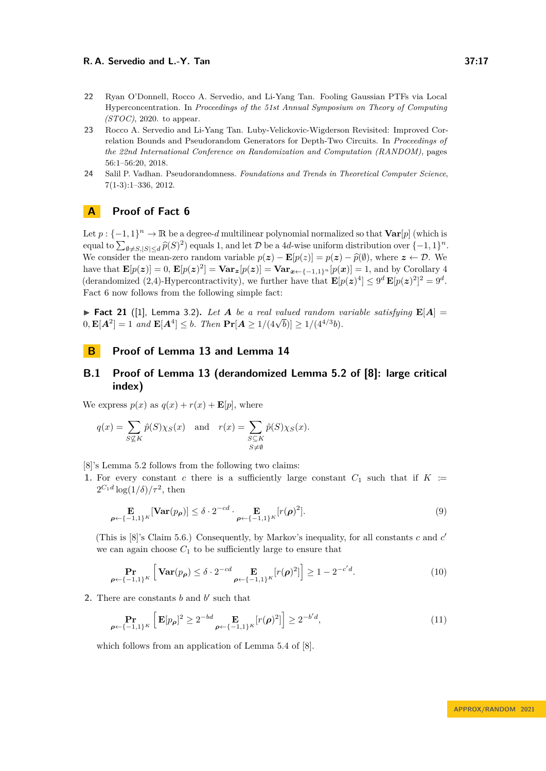- <span id="page-16-1"></span>**22** Ryan O'Donnell, Rocco A. Servedio, and Li-Yang Tan. Fooling Gaussian PTFs via Local Hyperconcentration. In *Proceedings of the 51st Annual Symposium on Theory of Computing (STOC)*, 2020. to appear.
- <span id="page-16-0"></span>**23** Rocco A. Servedio and Li-Yang Tan. Luby-Velickovic-Wigderson Revisited: Improved Correlation Bounds and Pseudorandom Generators for Depth-Two Circuits. In *Proceedings of the 22nd International Conference on Randomization and Computation (RANDOM)*, pages 56:1–56:20, 2018.
- <span id="page-16-4"></span>**24** Salil P. Vadhan. Pseudorandomness. *Foundations and Trends in Theoretical Computer Science*, 7(1-3):1–336, 2012.

# <span id="page-16-2"></span>**A Proof of Fact [6](#page-6-3)**

Let  $p: \{-1,1\}^n \to \mathbb{R}$  be a degree-*d* multilinear polynomial normalized so that  $\text{Var}[p]$  (which is equal to  $\sum_{\emptyset \neq S, |S| \leq d} \hat{p}(S)^2$  equals 1, and let D be a 4*d*-wise uniform distribution over  $\{-1, 1\}^n$ . We consider the mean-zero random variable  $p(z) - \mathbf{E}[p(z)] = p(z) - \hat{p}(\emptyset)$ , where  $z \leftarrow \mathcal{D}$ . We have that  $\mathbf{E}[p(\mathbf{z})] = 0$ ,  $\mathbf{E}[p(\mathbf{z})^2] = \mathbf{Var}_{\mathbf{z}}[p(\mathbf{z})] = \mathbf{Var}_{\mathbf{z}\leftarrow\{-1,1\}^n}[p(\mathbf{z})] = 1$ , and by Corollary [4](#page-6-5) (derandomized (2,4)-Hypercontractivity), we further have that  $\mathbf{E}[p(z)^4] \leq 9^d \mathbf{E}[p(z)^2]^2 = 9^d$ . Fact [6](#page-6-3) now follows from the following simple fact:

 $\blacktriangleright$  **Fact 21** ([\[1\]](#page-14-0), Lemma 3.2). Let A be a real valued random variable satisfying  $\mathbf{E}[A] =$  $\bullet$  **Fact 21** ([1], Lemma 5.2). Let A be a real valued random v<br>0,  $\mathbf{E}[A^2] = 1$  and  $\mathbf{E}[A^4] \leq b$ . Then  $\Pr[A \geq 1/(4\sqrt{b})] \geq 1/(4^{4/3}b)$ .

## **B Proof of Lemma [13](#page-8-1) and Lemma [14](#page-8-2)**

## <span id="page-16-3"></span>**B.1 Proof of Lemma [13](#page-8-1) (derandomized Lemma 5.2 of [\[8\]](#page-15-19): large critical index)**

We express  $p(x)$  as  $q(x) + r(x) + \mathbf{E}[p]$ , where

$$
q(x) = \sum_{S \not\subseteq K} \hat{p}(S) \chi_S(x) \quad \text{and} \quad r(x) = \sum_{\substack{S \subseteq K \\ S \neq \emptyset}} \hat{p}(S) \chi_S(x).
$$

[\[8\]](#page-15-19)'s Lemma 5.2 follows from the following two claims:

**1.** For every constant *c* there is a sufficiently large constant  $C_1$  such that if  $K :=$  $2^{C_1 d} \log(1/\delta)/\tau^2$ , then

<span id="page-16-5"></span>
$$
\mathbf{E}_{\boldsymbol{\rho} \leftarrow \{-1,1\}^K}[\mathbf{Var}(p_{\boldsymbol{\rho}})] \leq \delta \cdot 2^{-cd} \cdot \mathbf{E}_{\boldsymbol{\rho} \leftarrow \{-1,1\}^K}[r(\boldsymbol{\rho})^2].
$$
\n(9)

(This is [\[8\]](#page-15-19)'s Claim 5.6.) Consequently, by Markov's inequality, for all constants *c* and *c* ′ we can again choose  $C_1$  to be sufficiently large to ensure that

<span id="page-16-7"></span><span id="page-16-6"></span>
$$
\Pr_{\leftarrow \{-1,1\}^K} \left[ \mathbf{Var}(p_{\boldsymbol{\rho}}) \le \delta \cdot 2^{-cd} \operatorname*{E}_{\boldsymbol{\rho} \leftarrow \{-1,1\}^K} [r(\boldsymbol{\rho})^2] \right] \ge 1 - 2^{-c'd}.
$$
\n(10)

**2.** There are constants  $b$  and  $b'$  such that

*ρ*←{−1*,*1}*<sup>K</sup>*

$$
\Pr_{\rho \leftarrow \{-1,1\}^K} \left[ \mathbf{E}[p_{\rho}]^2 \ge 2^{-bd} \mathbf{E}_{\rho \leftarrow \{-1,1\}^K} [r(\rho)^2] \right] \ge 2^{-b'd},\tag{11}
$$

which follows from an application of Lemma 5.4 of [\[8\]](#page-15-19).